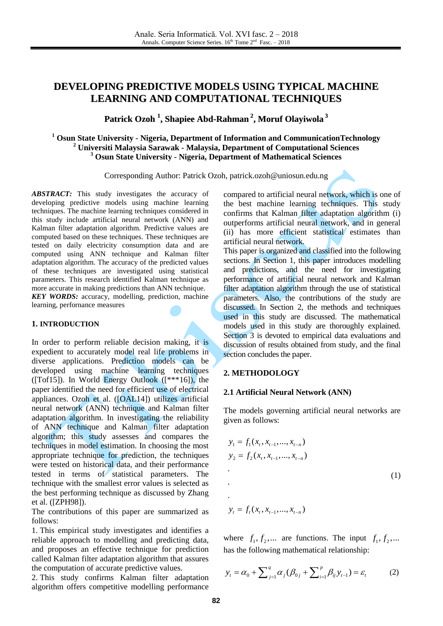# **DEVELOPING PREDICTIVE MODELS USING TYPICAL MACHINE LEARNING AND COMPUTATIONAL TECHNIQUES**

# **Patrick Ozoh 1 , Shapiee Abd-Rahman 2 , Moruf Olayiwola 3**

# **<sup>1</sup> Osun State University - Nigeria, Department of Information and CommunicationTechnology <sup>2</sup> Universiti Malaysia Sarawak - Malaysia, Department of Computational Sciences <sup>3</sup> Osun State University - Nigeria, Department of Mathematical Sciences**

Corresponding Author: Patrick Ozoh, patrick.ozoh@uniosun.edu.ng

*ABSTRACT:* This study investigates the accuracy of developing predictive models using machine learning techniques. The machine learning techniques considered in this study include artificial neural network (ANN) and Kalman filter adaptation algorithm. Predictive values are computed based on these techniques. These techniques are tested on daily electricity consumption data and are computed using ANN technique and Kalman filter adaptation algorithm. The accuracy of the predicted values of these techniques are investigated using statistical parameters. This research identified Kalman technique as more accurate in making predictions than ANN technique. *KEY WORDS:* accuracy, modelling, prediction, machine learning, perfornance measures

### **1. INTRODUCTION**

In order to perform reliable decision making, it is expedient to accurately model real life problems in diverse applications. Prediction models can be developed using machine learning techniques ([Tof15]). In World Energy Outlook ([\*\*\*16]), the paper identified the need for efficient use of electrical appliances. Ozoh et al. ([OAL14]) utilizes artificial neural network (ANN) technique and Kalman filter adaptation algorithm. In investigating the reliability of ANN technique and Kalman filter adaptation algorithm; this study assesses and compares the techniques in model estimation. In choosing the most appropriate technique for prediction, the techniques were tested on historical data, and their performance tested in terms of statistical parameters. The technique with the smallest error values is selected as the best performing technique as discussed by Zhang et al. ([ZPH98]).

The contributions of this paper are summarized as follows:

1. This empirical study investigates and identifies a reliable approach to modelling and predicting data, and proposes an effective technique for prediction called Kalman filter adaptation algorithm that assures the computation of accurate predictive values.

2. This study confirms Kalman filter adaptation algorithm offers competitive modelling performance compared to artificial neural network, which is one of the best machine learning techniques. This study confirms that Kalman filter adaptation algorithm (i) outperforms artificial neural network, and in general (ii) has more efficient statistical estimates than artificial neural network.

This paper is organized and classified into the following sections. In Section 1, this paper introduces modelling and predictions, and the need for investigating performance of artificial neural network and Kalman filter adaptation algorithm through the use of statistical parameters. Also, the contributions of the study are discussed. In Section 2, the methods and techniques used in this study are discussed. The mathematical models used in this study are thoroughly explained. Section 3 is devoted to empirical data evaluations and discussion of results obtained from study, and the final section concludes the paper.

### **2. METHODOLOGY**

### **2.1 Artificial Neural Network (ANN)**

The models governing artificial neural networks are given as follows:

$$
y_{1} = f_{1}(x_{t}, x_{t-1},..., x_{t-n})
$$
  
\n
$$
y_{2} = f_{2}(x_{t}, x_{t-1},..., x_{t-n})
$$
  
\n
$$
\vdots
$$
  
\n
$$
y_{t} = f_{t}(x_{t}, x_{t-1},..., x_{t-n})
$$
  
\n(1)

where  $f_1, f_2, \dots$  are functions. The input  $f_1, f_2, \dots$ 

has the following mathematical relationship:  
\n
$$
y_{t} = \alpha_{0} + \sum_{j=1}^{q} \alpha_{j} (\beta_{0j} + \sum_{i=1}^{p} \beta_{ij} y_{t-1}) = \varepsilon_{t}
$$
\n(2)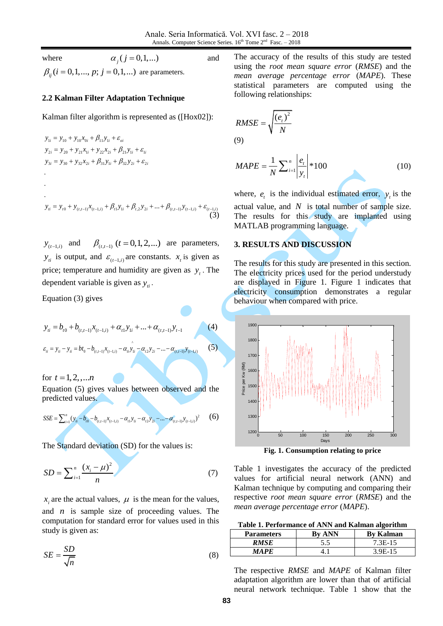and

where

$$
\alpha_j (j=0,1,...)
$$

 $\beta_{ij}$  (*i* = 0,1,..., *p*; *j* = 0,1,...) are parameters.

## **2.2 Kalman Filter Adaptation Technique**

Kalman filter algorithm is represented as ([Hox02]):  
\n
$$
y_{1i} = y_{10} + y_{10}x_{0i} + \beta_{11}y_{1i} + \varepsilon_{oi}
$$
\n
$$
y_{2i} = y_{20} + y_{21}x_{1i} + y_{22}x_{2i} + \beta_{21}y_{1i} + \varepsilon_{1i}
$$
\n
$$
y_{3i} = y_{30} + y_{32}x_{2i} + \beta_{31}y_{1i} + \beta_{32}y_{2i} + \varepsilon_{2i}
$$
\n
$$
\vdots
$$
\n
$$
y_{ni} = y_{i0} + y_{(i,i-1)}x_{(i-1,i)} + \beta_{i1}y_{1i} + \beta_{i2}y_{2i} + \dots + \beta_{(i,i-1)}y_{(i-1,i)} + \varepsilon_{(i-1,i)}
$$
\n(3)

 $y_{(t-1,i)}$  and  $\beta_{(t,t-1)}$   $(t = 0,1,2,...)$  are parameters,  $y_{ti}$  is output, and  $\varepsilon_{(t-1,i)}$  are constants.  $x_t$  is given as price; temperature and humidity are given as  $y_t$ . The dependent variable is given as  $y_i$ .

Equation (3) gives

$$
y_{ii} = b_{t0} + b_{(t, t-1)}x_{(t-1,i)} + \alpha_{t1}y_{1i} + \dots + \alpha_{(t, t-1)}y_{t-1}
$$
 (4)

$$
\varepsilon_{ii} = y_{ii} - y_{ii} = bt_0 - b_{(t, t-1)}x_{(t-1, i)} - \alpha_{ii}y_{1i} - \alpha_{t2}y_{2i} - \dots - \alpha_{(t, t-1)}y_{(t-1, i)}
$$
(5)

for  $t = 1, 2, ...n$ Equation (5) gives values between observed and the predicted values.

$$
SSE = \sum_{i=1}^{n} (y_{ii} - b_{i0} - b_{(t,t-1)}x_{(t-1,i)} - \alpha_{t1}y_{1i} - \alpha_{t2}y_{2i} - \dots - \alpha_{(t,t-1)}y_{(t-1,i)})^2
$$
 (6)

The Standard deviation (SD) for the values is:

$$
SD = \sum_{i=1}^{n} \frac{(x_i - \mu)^2}{n}
$$
 (7)

 $x_i$  are the actual values,  $\mu$  is the mean for the values, and *n* is sample size of proceeding values. The computation for standard error for values used in this study is given as:

$$
SE = \frac{SD}{\sqrt{n}}\tag{8}
$$

The accuracy of the results of this study are tested using the *root mean square error* (*RMSE*) and the *mean average percentage error* (*MAPE*). These statistical parameters are computed using the following relationships:

$$
RMSE = \sqrt{\frac{(e_t)^2}{N}}
$$
  
(9)

$$
MAPE = \frac{1}{N} \sum_{i=1}^{n} \left| \frac{e_i}{y_i} \right| * 100
$$
 (10)

where,  $e_t$  is the individual estimated error,  $y_t$  is the actual value, and  $N$  is total number of sample size. The results for this study are implanted using MATLAB programming language.

# **3. RESULTS AND DISCUSSION**

The results for this study are presented in this section. The electricity prices used for the period understudy are displayed in Figure 1. Figure 1 indicates that electricity consumption demonstrates a regular behaviour when compared with price.



**Fig. 1. Consumption relating to price**

Table 1 investigates the accuracy of the predicted values for artificial neural network (ANN) and Kalman technique by computing and comparing their respective *root mean square error* (*RMSE*) and the *mean average percentage error* (*MAPE*).

|  | Table 1. Performance of ANN and Kalman algorithm |
|--|--------------------------------------------------|
|  |                                                  |

| <b>Parameters</b> | <b>By ANN</b> | <b>By Kalman</b> |
|-------------------|---------------|------------------|
| RMSE              | 5.5           | 7.3E-15          |
| MA PF.            |               | $3.9E-15$        |

The respective *RMSE* and *MAPE* of Kalman filter adaptation algorithm are lower than that of artificial neural network technique. Table 1 show that the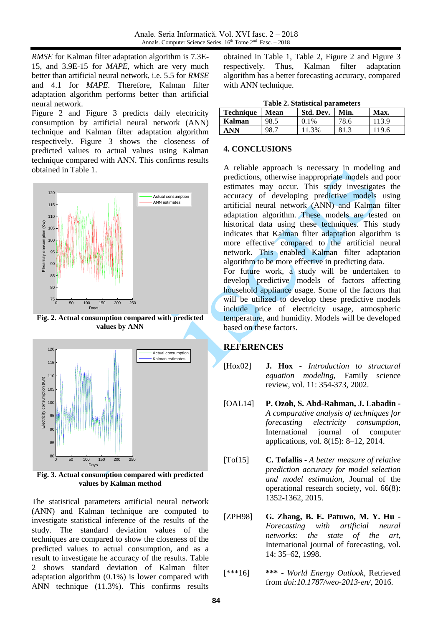*RMSE* for Kalman filter adaptation algorithm is 7.3E-15, and 3.9E-15 for *MAPE*, which are very much better than artificial neural network, i.e. 5.5 for *RMSE* and 4.1 for *MAPE*. Therefore, Kalman filter adaptation algorithm performs better than artificial neural network.

Figure 2 and Figure 3 predicts daily electricity consumption by artificial neural network (ANN) technique and Kalman filter adaptation algorithm respectively. Figure 3 shows the closeness of predicted values to actual values using Kalman technique compared with ANN. This confirms results obtained in Table 1.



**Fig. 2. Actual consumption compared with predicted values by ANN**



**Fig. 3. Actual consumption compared with predicted values by Kalman method**

The statistical parameters artificial neural network (ANN) and Kalman technique are computed to investigate statistical inference of the results of the study. The standard deviation values of the techniques are compared to show the closeness of the predicted values to actual consumption, and as a result to investigate he accuracy of the results. Table 2 shows standard deviation of Kalman filter adaptation algorithm (0.1%) is lower compared with ANN technique (11.3%). This confirms results obtained in Table 1, Table 2, Figure 2 and Figure 3 respectively. Thus, Kalman filter adaptation algorithm has a better forecasting accuracy, compared with ANN technique.

| rabic 2. Danistical parameters |       |           |      |       |  |  |
|--------------------------------|-------|-----------|------|-------|--|--|
| <b>Technique</b>               | Mean  | Std. Dev. | Min. | Max.  |  |  |
| Kalman                         | 98.5  | $0.1\%$   | 78.6 | 113.9 |  |  |
| ANN                            | $-98$ | 11.3%     | 81.3 | 19.6  |  |  |

# **4. CONCLUSIONS**

A reliable approach is necessary in modeling and predictions, otherwise inappropriate models and poor estimates may occur. This study investigates the accuracy of developing predictive models using artificial neural network (ANN) and Kalman filter adaptation algorithm. These models are tested on historical data using these techniques. This study indicates that Kalman filter adaptation algorithm is more effective compared to the artificial neural network. This enabled Kalman filter adaptation algorithm to be more effective in predicting data.

For future work, a study will be undertaken to develop predictive models of factors affecting household appliance usage. Some of the factors that will be utilized to develop these predictive models include price of electricity usage, atmospheric temperature, and humidity. Models will be developed based on these factors.

# **REFERENCES**

- [Hox02] **J. Hox** *Introduction to structural equation modeling*, Family science review, vol. 11: 354-373, 2002.
- [OAL14] **P. Ozoh, S. Abd-Rahman, J. Labadin -** *A comparative analysis of techniques for forecasting electricity consumption*, International journal of computer applications, vol. 8(15): 8–12, 2014.
- [Tof15] **C. Tofallis** *A better measure of relative prediction accuracy for model selection and model estimation*, Journal of the operational research society, vol. 66(8): 1352-1362, 2015.
- [ZPH98] **G. Zhang, B. E. Patuwo, M. Y. Hu** *Forecasting with artificial neural networks: the state of the art*, International journal of forecasting, vol. 14: 35–62, 1998.
- [\*\*\*16] **\*\*\* -** *World Energy Outlook,* Retrieved from *doi:10.1787/weo-2013-en/*, 2016.